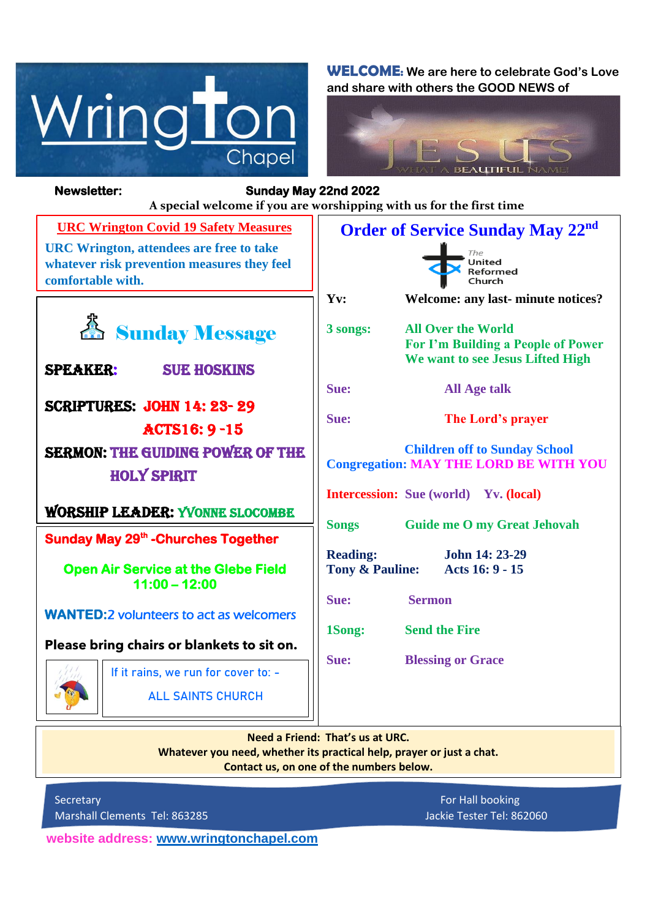

**WELCOME: We are here to celebrate God's Love and share with others the GOOD NEWS of**



**Newsletter: Sunday May 22nd 2022**  *Figure 1ready steady* **A special welcome if you are worshipping with us for the first time Order of Service Sunday May 22nd URC Wrington Covid 19 Safety Measures URC Wrington, attendees are free to take**  The  $rac{1}{2}$ United **whatever risk prevention measures they feel Reformed comfortable with.**  $Church$ **Yv: Welcome: any last- minute notices? A** Sunday Message **3 songs: All Over the World For I'm Building a People of Power We want to see Jesus Lifted High** SPEAKER: SUE HOSKINS **Sue: All Age talk** Scriptures: John 14: 23- 29 **Sue: The Lord's prayer** ACTS16: 9-15 **Children off to Sunday School** SERMON: THE GUIDING POWER OF THE **Congregation: MAY THE LORD BE WITH YOU** HOLY SPIRIT **Intercession: Sue (world) Yv. (local)** Worship leader: Yvonne Slocombe **Songs Guide me O my Great Jehovah Sunday May 29th -Churches Together Reading: John 14: 23-29 Open Air Service at the Glebe Field Tony & Pauline: Acts 16: 9 - 15 11:00 – 12:00 Sue: Sermon WANTED:**2 volunteers to act as welcomers **1Song: Send the Fire Please bring chairs or blankets to sit on. Sue: Blessing or Grace**  If it rains, we run for cover to: - ALL SAINTS CHURCH**Need a Friend: That's us at URC.**

**Whatever you need, whether its practical help, prayer or just a chat. Contact us, on one of the numbers below.**

Marshall Clements Tel: 863285 Jackie Tester Tel: 862060

Secretary **For Hall booking** For Hall booking

**website address: [www.wringtonchapel.com](http://www.wringtonchapel.com/)**